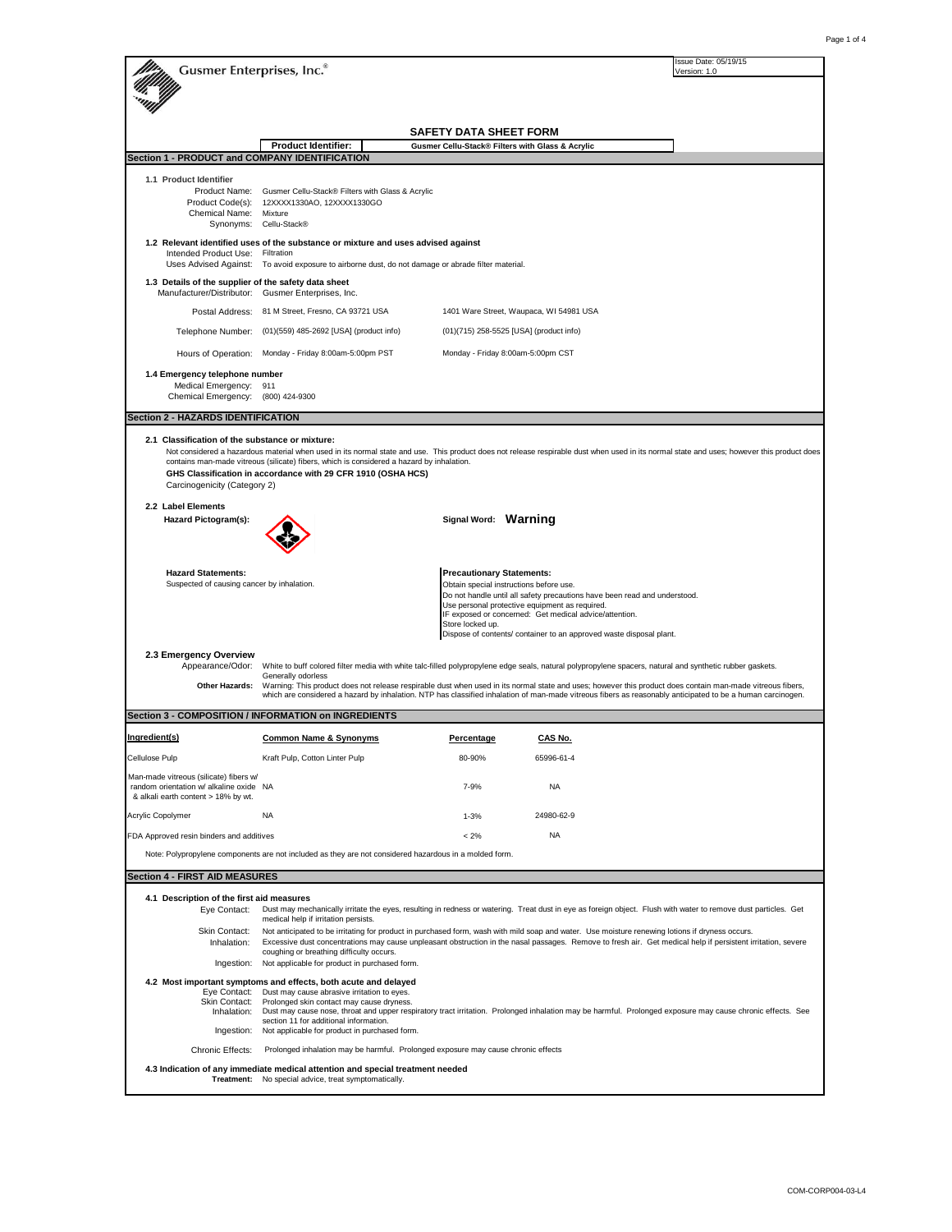| <b>Gusmer Enterprises, Inc.</b> ®                                                                                                                                                                                                                                                                                                                                                                                                          |                                                                                                                                                                                                                                                                                                                                                                                                                      |                                                                                                 |                                                                                                                                                                                                                                                              | Issue Date: 05/19/15<br>Version: 1.0 |  |
|--------------------------------------------------------------------------------------------------------------------------------------------------------------------------------------------------------------------------------------------------------------------------------------------------------------------------------------------------------------------------------------------------------------------------------------------|----------------------------------------------------------------------------------------------------------------------------------------------------------------------------------------------------------------------------------------------------------------------------------------------------------------------------------------------------------------------------------------------------------------------|-------------------------------------------------------------------------------------------------|--------------------------------------------------------------------------------------------------------------------------------------------------------------------------------------------------------------------------------------------------------------|--------------------------------------|--|
|                                                                                                                                                                                                                                                                                                                                                                                                                                            |                                                                                                                                                                                                                                                                                                                                                                                                                      |                                                                                                 |                                                                                                                                                                                                                                                              |                                      |  |
|                                                                                                                                                                                                                                                                                                                                                                                                                                            |                                                                                                                                                                                                                                                                                                                                                                                                                      |                                                                                                 |                                                                                                                                                                                                                                                              |                                      |  |
|                                                                                                                                                                                                                                                                                                                                                                                                                                            |                                                                                                                                                                                                                                                                                                                                                                                                                      | <b>SAFETY DATA SHEET FORM</b>                                                                   |                                                                                                                                                                                                                                                              |                                      |  |
| Section 1 - PRODUCT and COMPANY IDENTIFICATION                                                                                                                                                                                                                                                                                                                                                                                             | <b>Product Identifier:</b>                                                                                                                                                                                                                                                                                                                                                                                           | Gusmer Cellu-Stack® Filters with Glass & Acrylic                                                |                                                                                                                                                                                                                                                              |                                      |  |
| 1.1 Product Identifier                                                                                                                                                                                                                                                                                                                                                                                                                     |                                                                                                                                                                                                                                                                                                                                                                                                                      |                                                                                                 |                                                                                                                                                                                                                                                              |                                      |  |
| Product Name:<br>Product Code(s):                                                                                                                                                                                                                                                                                                                                                                                                          | Gusmer Cellu-Stack® Filters with Glass & Acrylic                                                                                                                                                                                                                                                                                                                                                                     |                                                                                                 |                                                                                                                                                                                                                                                              |                                      |  |
| Chemical Name:<br>Synonyms:                                                                                                                                                                                                                                                                                                                                                                                                                | 12XXXX1330AO, 12XXXX1330GO<br>Mixture<br>Cellu-Stack®                                                                                                                                                                                                                                                                                                                                                                |                                                                                                 |                                                                                                                                                                                                                                                              |                                      |  |
|                                                                                                                                                                                                                                                                                                                                                                                                                                            | 1.2 Relevant identified uses of the substance or mixture and uses advised against<br>Intended Product Use: Filtration<br>Uses Advised Against: To avoid exposure to airborne dust, do not damage or abrade filter material.                                                                                                                                                                                          |                                                                                                 |                                                                                                                                                                                                                                                              |                                      |  |
| 1.3 Details of the supplier of the safety data sheet<br>Manufacturer/Distributor: Gusmer Enterprises, Inc.                                                                                                                                                                                                                                                                                                                                 |                                                                                                                                                                                                                                                                                                                                                                                                                      |                                                                                                 |                                                                                                                                                                                                                                                              |                                      |  |
| Postal Address:                                                                                                                                                                                                                                                                                                                                                                                                                            | 81 M Street, Fresno, CA 93721 USA                                                                                                                                                                                                                                                                                                                                                                                    |                                                                                                 | 1401 Ware Street, Waupaca, WI 54981 USA                                                                                                                                                                                                                      |                                      |  |
| Telephone Number:                                                                                                                                                                                                                                                                                                                                                                                                                          | (01)(559) 485-2692 [USA] (product info)                                                                                                                                                                                                                                                                                                                                                                              | (01)(715) 258-5525 [USA] (product info)                                                         |                                                                                                                                                                                                                                                              |                                      |  |
|                                                                                                                                                                                                                                                                                                                                                                                                                                            | Hours of Operation: Monday - Friday 8:00am-5:00pm PST                                                                                                                                                                                                                                                                                                                                                                | Monday - Friday 8:00am-5:00pm CST                                                               |                                                                                                                                                                                                                                                              |                                      |  |
| 1.4 Emergency telephone number                                                                                                                                                                                                                                                                                                                                                                                                             |                                                                                                                                                                                                                                                                                                                                                                                                                      |                                                                                                 |                                                                                                                                                                                                                                                              |                                      |  |
| Medical Emergency: 911<br>Chemical Emergency: (800) 424-9300                                                                                                                                                                                                                                                                                                                                                                               |                                                                                                                                                                                                                                                                                                                                                                                                                      |                                                                                                 |                                                                                                                                                                                                                                                              |                                      |  |
| <b>Section 2 - HAZARDS IDENTIFICATION</b>                                                                                                                                                                                                                                                                                                                                                                                                  |                                                                                                                                                                                                                                                                                                                                                                                                                      |                                                                                                 |                                                                                                                                                                                                                                                              |                                      |  |
| 2.1 Classification of the substance or mixture:<br>Not considered a hazardous material when used in its normal state and use. This product does not release respirable dust when used in its normal state and uses; however this product does<br>contains man-made vitreous (silicate) fibers, which is considered a hazard by inhalation.<br>GHS Classification in accordance with 29 CFR 1910 (OSHA HCS)<br>Carcinogenicity (Category 2) |                                                                                                                                                                                                                                                                                                                                                                                                                      |                                                                                                 |                                                                                                                                                                                                                                                              |                                      |  |
| 2.2 Label Elements<br>Hazard Pictogram(s):                                                                                                                                                                                                                                                                                                                                                                                                 |                                                                                                                                                                                                                                                                                                                                                                                                                      | Signal Word: Warning                                                                            |                                                                                                                                                                                                                                                              |                                      |  |
|                                                                                                                                                                                                                                                                                                                                                                                                                                            |                                                                                                                                                                                                                                                                                                                                                                                                                      |                                                                                                 |                                                                                                                                                                                                                                                              |                                      |  |
| <b>Hazard Statements:</b><br>Suspected of causing cancer by inhalation.                                                                                                                                                                                                                                                                                                                                                                    |                                                                                                                                                                                                                                                                                                                                                                                                                      | <b>Precautionary Statements:</b><br>Obtain special instructions before use.<br>Store locked up. | Do not handle until all safety precautions have been read and understood.<br>Use personal protective equipment as required.<br>IF exposed or concerned: Get medical advice/attention.<br>Dispose of contents/ container to an approved waste disposal plant. |                                      |  |
| 2.3 Emergency Overview                                                                                                                                                                                                                                                                                                                                                                                                                     |                                                                                                                                                                                                                                                                                                                                                                                                                      |                                                                                                 |                                                                                                                                                                                                                                                              |                                      |  |
| Appearance/Odor:                                                                                                                                                                                                                                                                                                                                                                                                                           | White to buff colored filter media with white talc-filled polypropylene edge seals, natural polypropylene spacers, natural and synthetic rubber gaskets.<br>Generally odorless                                                                                                                                                                                                                                       |                                                                                                 |                                                                                                                                                                                                                                                              |                                      |  |
| Other Hazards:                                                                                                                                                                                                                                                                                                                                                                                                                             | Warning: This product does not release respirable dust when used in its normal state and uses; however this product does contain man-made vitreous fibers,<br>which are considered a hazard by inhalation. NTP has classified inhalation of man-made vitreous fibers as reasonably anticipated to be a human carcinogen.                                                                                             |                                                                                                 |                                                                                                                                                                                                                                                              |                                      |  |
|                                                                                                                                                                                                                                                                                                                                                                                                                                            | Section 3 - COMPOSITION / INFORMATION on INGREDIENTS                                                                                                                                                                                                                                                                                                                                                                 |                                                                                                 |                                                                                                                                                                                                                                                              |                                      |  |
| Ingredient(s)                                                                                                                                                                                                                                                                                                                                                                                                                              | <b>Common Name &amp; Synonyms</b>                                                                                                                                                                                                                                                                                                                                                                                    | Percentage                                                                                      | CAS No.                                                                                                                                                                                                                                                      |                                      |  |
| Cellulose Pulp                                                                                                                                                                                                                                                                                                                                                                                                                             | Kraft Pulp, Cotton Linter Pulp                                                                                                                                                                                                                                                                                                                                                                                       | 80-90%                                                                                          | 65996-61-4                                                                                                                                                                                                                                                   |                                      |  |
| Man-made vitreous (silicate) fibers w/<br>random orientation w/ alkaline oxide NA<br>& alkali earth content > 18% by wt.                                                                                                                                                                                                                                                                                                                   |                                                                                                                                                                                                                                                                                                                                                                                                                      | $7 - 9%$                                                                                        | <b>NA</b>                                                                                                                                                                                                                                                    |                                      |  |
| Acrylic Copolymer                                                                                                                                                                                                                                                                                                                                                                                                                          | <b>NA</b>                                                                                                                                                                                                                                                                                                                                                                                                            | $1 - 3%$                                                                                        | 24980-62-9                                                                                                                                                                                                                                                   |                                      |  |
| FDA Approved resin binders and additives                                                                                                                                                                                                                                                                                                                                                                                                   |                                                                                                                                                                                                                                                                                                                                                                                                                      | $< 2\%$                                                                                         | <b>NA</b>                                                                                                                                                                                                                                                    |                                      |  |
|                                                                                                                                                                                                                                                                                                                                                                                                                                            | Note: Polypropylene components are not included as they are not considered hazardous in a molded form.                                                                                                                                                                                                                                                                                                               |                                                                                                 |                                                                                                                                                                                                                                                              |                                      |  |
| <b>Section 4 - FIRST AID MEASURES</b>                                                                                                                                                                                                                                                                                                                                                                                                      |                                                                                                                                                                                                                                                                                                                                                                                                                      |                                                                                                 |                                                                                                                                                                                                                                                              |                                      |  |
| 4.1 Description of the first aid measures                                                                                                                                                                                                                                                                                                                                                                                                  |                                                                                                                                                                                                                                                                                                                                                                                                                      |                                                                                                 |                                                                                                                                                                                                                                                              |                                      |  |
| Eye Contact:                                                                                                                                                                                                                                                                                                                                                                                                                               | Dust may mechanically irritate the eyes, resulting in redness or watering. Treat dust in eye as foreign object. Flush with water to remove dust particles. Get<br>medical help if irritation persists.                                                                                                                                                                                                               |                                                                                                 |                                                                                                                                                                                                                                                              |                                      |  |
| Skin Contact:<br>Inhalation:                                                                                                                                                                                                                                                                                                                                                                                                               | Not anticipated to be irritating for product in purchased form, wash with mild soap and water. Use moisture renewing lotions if dryness occurs.<br>Excessive dust concentrations may cause unpleasant obstruction in the nasal passages. Remove to fresh air. Get medical help if persistent irritation, severe<br>coughing or breathing difficulty occurs.                                                          |                                                                                                 |                                                                                                                                                                                                                                                              |                                      |  |
| Ingestion:<br>Not applicable for product in purchased form.                                                                                                                                                                                                                                                                                                                                                                                |                                                                                                                                                                                                                                                                                                                                                                                                                      |                                                                                                 |                                                                                                                                                                                                                                                              |                                      |  |
| Eye Contact:<br>Skin Contact:<br>Inhalation:<br>Ingestion:                                                                                                                                                                                                                                                                                                                                                                                 | 4.2 Most important symptoms and effects, both acute and delayed<br>Dust may cause abrasive irritation to eyes.<br>Prolonged skin contact may cause dryness.<br>Dust may cause nose, throat and upper respiratory tract irritation. Prolonged inhalation may be harmful. Prolonged exposure may cause chronic effects. See<br>section 11 for additional information.<br>Not applicable for product in purchased form. |                                                                                                 |                                                                                                                                                                                                                                                              |                                      |  |
| Chronic Effects:<br>Prolonged inhalation may be harmful. Prolonged exposure may cause chronic effects                                                                                                                                                                                                                                                                                                                                      |                                                                                                                                                                                                                                                                                                                                                                                                                      |                                                                                                 |                                                                                                                                                                                                                                                              |                                      |  |
|                                                                                                                                                                                                                                                                                                                                                                                                                                            | 4.3 Indication of any immediate medical attention and special treatment needed<br>Treatment: No special advice, treat symptomatically.                                                                                                                                                                                                                                                                               |                                                                                                 |                                                                                                                                                                                                                                                              |                                      |  |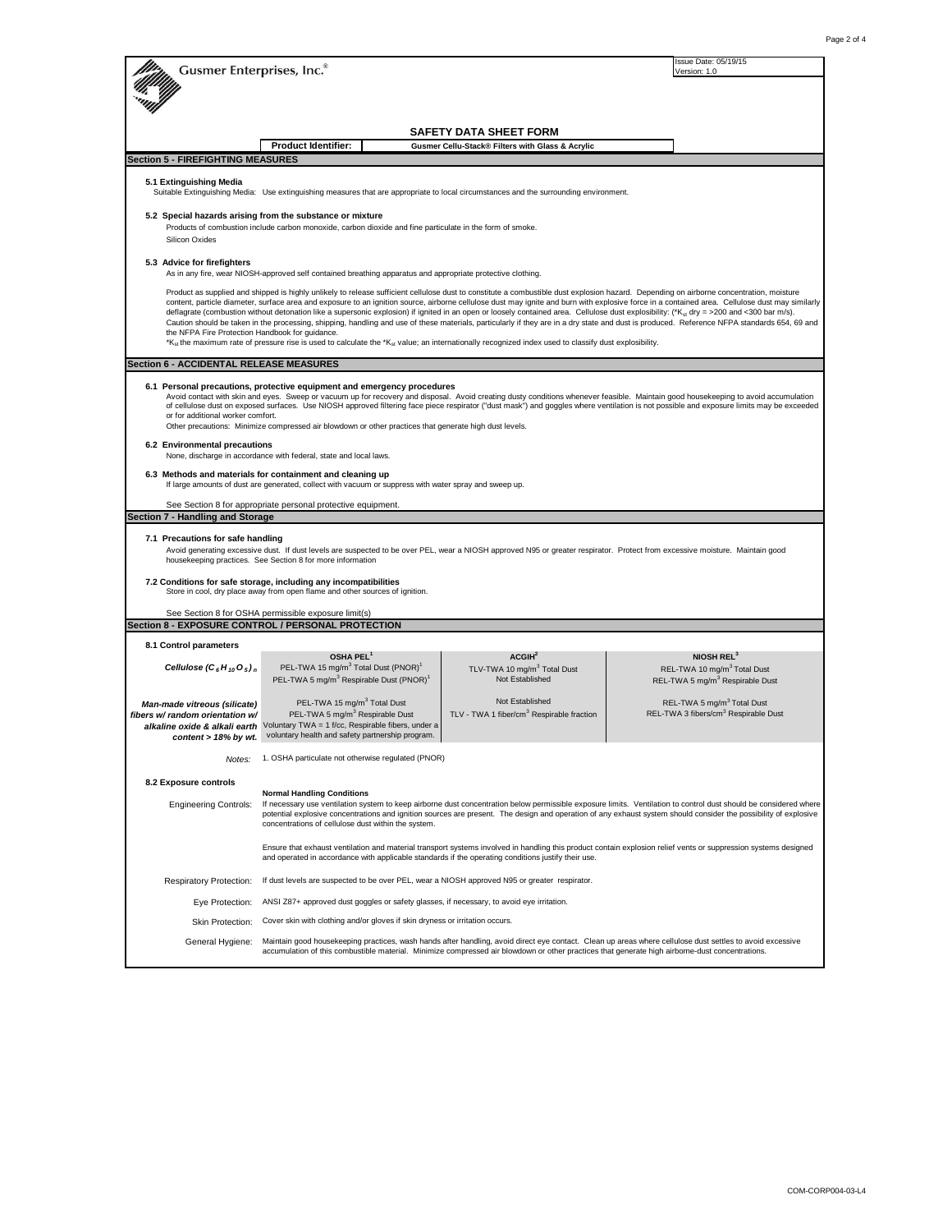| Gusmer Enterprises, Inc.®                                                                                                                                                                                                                                                                                                                                                                                                                                                                                                                                                                                                                                                                                                                                                                                                                                                                                                                                                                                                               |                                                                                                                                                                                                                                                                                                                                                                                                                                   |                                                                                               | Issue Date: 05/19/15<br>Version: 1.0                                                                                                                                                                                                                                                                                                                                             |  |  |
|-----------------------------------------------------------------------------------------------------------------------------------------------------------------------------------------------------------------------------------------------------------------------------------------------------------------------------------------------------------------------------------------------------------------------------------------------------------------------------------------------------------------------------------------------------------------------------------------------------------------------------------------------------------------------------------------------------------------------------------------------------------------------------------------------------------------------------------------------------------------------------------------------------------------------------------------------------------------------------------------------------------------------------------------|-----------------------------------------------------------------------------------------------------------------------------------------------------------------------------------------------------------------------------------------------------------------------------------------------------------------------------------------------------------------------------------------------------------------------------------|-----------------------------------------------------------------------------------------------|----------------------------------------------------------------------------------------------------------------------------------------------------------------------------------------------------------------------------------------------------------------------------------------------------------------------------------------------------------------------------------|--|--|
|                                                                                                                                                                                                                                                                                                                                                                                                                                                                                                                                                                                                                                                                                                                                                                                                                                                                                                                                                                                                                                         |                                                                                                                                                                                                                                                                                                                                                                                                                                   |                                                                                               |                                                                                                                                                                                                                                                                                                                                                                                  |  |  |
|                                                                                                                                                                                                                                                                                                                                                                                                                                                                                                                                                                                                                                                                                                                                                                                                                                                                                                                                                                                                                                         |                                                                                                                                                                                                                                                                                                                                                                                                                                   | <b>SAFETY DATA SHEET FORM</b>                                                                 |                                                                                                                                                                                                                                                                                                                                                                                  |  |  |
|                                                                                                                                                                                                                                                                                                                                                                                                                                                                                                                                                                                                                                                                                                                                                                                                                                                                                                                                                                                                                                         | <b>Product Identifier:</b>                                                                                                                                                                                                                                                                                                                                                                                                        | Gusmer Cellu-Stack® Filters with Glass & Acrylic                                              |                                                                                                                                                                                                                                                                                                                                                                                  |  |  |
| <b>Section 5 - FIREFIGHTING MEASURES</b>                                                                                                                                                                                                                                                                                                                                                                                                                                                                                                                                                                                                                                                                                                                                                                                                                                                                                                                                                                                                |                                                                                                                                                                                                                                                                                                                                                                                                                                   |                                                                                               |                                                                                                                                                                                                                                                                                                                                                                                  |  |  |
| 5.1 Extinguishing Media                                                                                                                                                                                                                                                                                                                                                                                                                                                                                                                                                                                                                                                                                                                                                                                                                                                                                                                                                                                                                 | Suitable Extinguishing Media: Use extinguishing measures that are appropriate to local circumstances and the surrounding environment.                                                                                                                                                                                                                                                                                             |                                                                                               |                                                                                                                                                                                                                                                                                                                                                                                  |  |  |
| Silicon Oxides                                                                                                                                                                                                                                                                                                                                                                                                                                                                                                                                                                                                                                                                                                                                                                                                                                                                                                                                                                                                                          | 5.2 Special hazards arising from the substance or mixture<br>Products of combustion include carbon monoxide, carbon dioxide and fine particulate in the form of smoke.                                                                                                                                                                                                                                                            |                                                                                               |                                                                                                                                                                                                                                                                                                                                                                                  |  |  |
| 5.3 Advice for firefighters                                                                                                                                                                                                                                                                                                                                                                                                                                                                                                                                                                                                                                                                                                                                                                                                                                                                                                                                                                                                             | As in any fire, wear NIOSH-approved self contained breathing apparatus and appropriate protective clothing.                                                                                                                                                                                                                                                                                                                       |                                                                                               |                                                                                                                                                                                                                                                                                                                                                                                  |  |  |
| Product as supplied and shipped is highly unlikely to release sufficient cellulose dust to constitute a combustible dust explosion hazard. Depending on airborne concentration, moisture<br>content, particle diameter, surface area and exposure to an ignition source, airborne cellulose dust may ignite and burn with explosive force in a contained area. Cellulose dust may similarly<br>deflagrate (combustion without detonation like a supersonic explosion) if ignited in an open or loosely contained area. Cellulose dust explosibility: (*K <sub>st</sub> dry = >200 and <300 bar m/s).<br>Caution should be taken in the processing, shipping, handling and use of these materials, particularly if they are in a dry state and dust is produced. Reference NFPA standards 654, 69 and<br>the NFPA Fire Protection Handbook for guidance.<br>*K <sub>st</sub> the maximum rate of pressure rise is used to calculate the *K <sub>st</sub> value; an internationally recognized index used to classify dust explosibility. |                                                                                                                                                                                                                                                                                                                                                                                                                                   |                                                                                               |                                                                                                                                                                                                                                                                                                                                                                                  |  |  |
| <b>Section 6 - ACCIDENTAL RELEASE MEASURES</b>                                                                                                                                                                                                                                                                                                                                                                                                                                                                                                                                                                                                                                                                                                                                                                                                                                                                                                                                                                                          |                                                                                                                                                                                                                                                                                                                                                                                                                                   |                                                                                               |                                                                                                                                                                                                                                                                                                                                                                                  |  |  |
| or for additional worker comfort.                                                                                                                                                                                                                                                                                                                                                                                                                                                                                                                                                                                                                                                                                                                                                                                                                                                                                                                                                                                                       | 6.1 Personal precautions, protective equipment and emergency procedures<br>Other precautions: Minimize compressed air blowdown or other practices that generate high dust levels.                                                                                                                                                                                                                                                 |                                                                                               | Avoid contact with skin and eyes. Sweep or vacuum up for recovery and disposal. Avoid creating dusty conditions whenever feasible. Maintain good housekeeping to avoid accumulation<br>of cellulose dust on exposed surfaces. Use NIOSH approved filtering face piece respirator ("dust mask") and goggles where ventilation is not possible and exposure limits may be exceeded |  |  |
| 6.2 Environmental precautions<br>None, discharge in accordance with federal, state and local laws.                                                                                                                                                                                                                                                                                                                                                                                                                                                                                                                                                                                                                                                                                                                                                                                                                                                                                                                                      |                                                                                                                                                                                                                                                                                                                                                                                                                                   |                                                                                               |                                                                                                                                                                                                                                                                                                                                                                                  |  |  |
| 6.3 Methods and materials for containment and cleaning up<br>If large amounts of dust are generated, collect with vacuum or suppress with water spray and sweep up.                                                                                                                                                                                                                                                                                                                                                                                                                                                                                                                                                                                                                                                                                                                                                                                                                                                                     |                                                                                                                                                                                                                                                                                                                                                                                                                                   |                                                                                               |                                                                                                                                                                                                                                                                                                                                                                                  |  |  |
| See Section 8 for appropriate personal protective equipment.                                                                                                                                                                                                                                                                                                                                                                                                                                                                                                                                                                                                                                                                                                                                                                                                                                                                                                                                                                            |                                                                                                                                                                                                                                                                                                                                                                                                                                   |                                                                                               |                                                                                                                                                                                                                                                                                                                                                                                  |  |  |
| Section 7 - Handling and Storage<br>7.1 Precautions for safe handling<br>Avoid generating excessive dust. If dust levels are suspected to be over PEL, wear a NIOSH approved N95 or greater respirator. Protect from excessive moisture. Maintain good<br>housekeeping practices. See Section 8 for more information<br>7.2 Conditions for safe storage, including any incompatibilities                                                                                                                                                                                                                                                                                                                                                                                                                                                                                                                                                                                                                                                |                                                                                                                                                                                                                                                                                                                                                                                                                                   |                                                                                               |                                                                                                                                                                                                                                                                                                                                                                                  |  |  |
|                                                                                                                                                                                                                                                                                                                                                                                                                                                                                                                                                                                                                                                                                                                                                                                                                                                                                                                                                                                                                                         | Store in cool, dry place away from open flame and other sources of ignition.                                                                                                                                                                                                                                                                                                                                                      |                                                                                               |                                                                                                                                                                                                                                                                                                                                                                                  |  |  |
|                                                                                                                                                                                                                                                                                                                                                                                                                                                                                                                                                                                                                                                                                                                                                                                                                                                                                                                                                                                                                                         | See Section 8 for OSHA permissible exposure limit(s)<br>Section 8 - EXPOSURE CONTROL / PERSONAL PROTECTION                                                                                                                                                                                                                                                                                                                        |                                                                                               |                                                                                                                                                                                                                                                                                                                                                                                  |  |  |
| 8.1 Control parameters                                                                                                                                                                                                                                                                                                                                                                                                                                                                                                                                                                                                                                                                                                                                                                                                                                                                                                                                                                                                                  |                                                                                                                                                                                                                                                                                                                                                                                                                                   |                                                                                               |                                                                                                                                                                                                                                                                                                                                                                                  |  |  |
| Cellulose $(C_6H_{10}O_5)_n$                                                                                                                                                                                                                                                                                                                                                                                                                                                                                                                                                                                                                                                                                                                                                                                                                                                                                                                                                                                                            | OSHA PEL <sup>1</sup><br>PEL-TWA 15 mg/m <sup>3</sup> Total Dust (PNOR) <sup>1</sup><br>PEL-TWA 5 mg/m <sup>3</sup> Respirable Dust (PNOR) <sup>1</sup>                                                                                                                                                                                                                                                                           | ACGIH <sup>2</sup><br>TLV-TWA 10 mg/m <sup>3</sup> Total Dust<br>Not Established              | NIOSH REL <sup>3</sup><br>REL-TWA 10 mg/m <sup>3</sup> Total Dust<br>REL-TWA 5 mg/m <sup>3</sup> Respirable Dust                                                                                                                                                                                                                                                                 |  |  |
| Man-made vitreous (silicate)<br>fibers w/ random orientation w/<br>content > 18% by wt.                                                                                                                                                                                                                                                                                                                                                                                                                                                                                                                                                                                                                                                                                                                                                                                                                                                                                                                                                 | PEL-TWA 15 mg/m <sup>3</sup> Total Dust<br>PEL-TWA 5 mg/m <sup>3</sup> Respirable Dust<br>alkaline oxide & alkali earth Voluntary TWA = 1 f/cc, Respirable fibers, under a<br>voluntary health and safety partnership program.                                                                                                                                                                                                    | Not Established<br>TLV - TWA 1 fiber/cm <sup>3</sup> Respirable fraction                      | REL-TWA 5 mg/m <sup>3</sup> Total Dust<br>REL-TWA 3 fibers/cm <sup>3</sup> Respirable Dust                                                                                                                                                                                                                                                                                       |  |  |
| Notes:                                                                                                                                                                                                                                                                                                                                                                                                                                                                                                                                                                                                                                                                                                                                                                                                                                                                                                                                                                                                                                  | 1. OSHA particulate not otherwise regulated (PNOR)                                                                                                                                                                                                                                                                                                                                                                                |                                                                                               |                                                                                                                                                                                                                                                                                                                                                                                  |  |  |
| 8.2 Exposure controls                                                                                                                                                                                                                                                                                                                                                                                                                                                                                                                                                                                                                                                                                                                                                                                                                                                                                                                                                                                                                   |                                                                                                                                                                                                                                                                                                                                                                                                                                   |                                                                                               |                                                                                                                                                                                                                                                                                                                                                                                  |  |  |
| <b>Engineering Controls:</b>                                                                                                                                                                                                                                                                                                                                                                                                                                                                                                                                                                                                                                                                                                                                                                                                                                                                                                                                                                                                            | <b>Normal Handling Conditions</b><br>If necessary use ventilation system to keep airborne dust concentration below permissible exposure limits. Ventilation to control dust should be considered where<br>potential explosive concentrations and ignition sources are present. The design and operation of any exhaust system should consider the possibility of explosive<br>concentrations of cellulose dust within the system. |                                                                                               |                                                                                                                                                                                                                                                                                                                                                                                  |  |  |
|                                                                                                                                                                                                                                                                                                                                                                                                                                                                                                                                                                                                                                                                                                                                                                                                                                                                                                                                                                                                                                         | and operated in accordance with applicable standards if the operating conditions justify their use.                                                                                                                                                                                                                                                                                                                               |                                                                                               | Ensure that exhaust ventilation and material transport systems involved in handling this product contain explosion relief vents or suppression systems designed                                                                                                                                                                                                                  |  |  |
| <b>Respiratory Protection:</b>                                                                                                                                                                                                                                                                                                                                                                                                                                                                                                                                                                                                                                                                                                                                                                                                                                                                                                                                                                                                          |                                                                                                                                                                                                                                                                                                                                                                                                                                   | If dust levels are suspected to be over PEL, wear a NIOSH approved N95 or greater respirator. |                                                                                                                                                                                                                                                                                                                                                                                  |  |  |
| Eye Protection:                                                                                                                                                                                                                                                                                                                                                                                                                                                                                                                                                                                                                                                                                                                                                                                                                                                                                                                                                                                                                         | ANSI Z87+ approved dust goggles or safety glasses, if necessary, to avoid eye irritation.                                                                                                                                                                                                                                                                                                                                         |                                                                                               |                                                                                                                                                                                                                                                                                                                                                                                  |  |  |
| Skin Protection:                                                                                                                                                                                                                                                                                                                                                                                                                                                                                                                                                                                                                                                                                                                                                                                                                                                                                                                                                                                                                        | Cover skin with clothing and/or gloves if skin dryness or irritation occurs.                                                                                                                                                                                                                                                                                                                                                      |                                                                                               |                                                                                                                                                                                                                                                                                                                                                                                  |  |  |
| General Hygiene:                                                                                                                                                                                                                                                                                                                                                                                                                                                                                                                                                                                                                                                                                                                                                                                                                                                                                                                                                                                                                        | Maintain good housekeeping practices, wash hands after handling, avoid direct eye contact. Clean up areas where cellulose dust settles to avoid excessive<br>accumulation of this combustible material. Minimize compressed air blowdown or other practices that generate high airborne-dust concentrations.                                                                                                                      |                                                                                               |                                                                                                                                                                                                                                                                                                                                                                                  |  |  |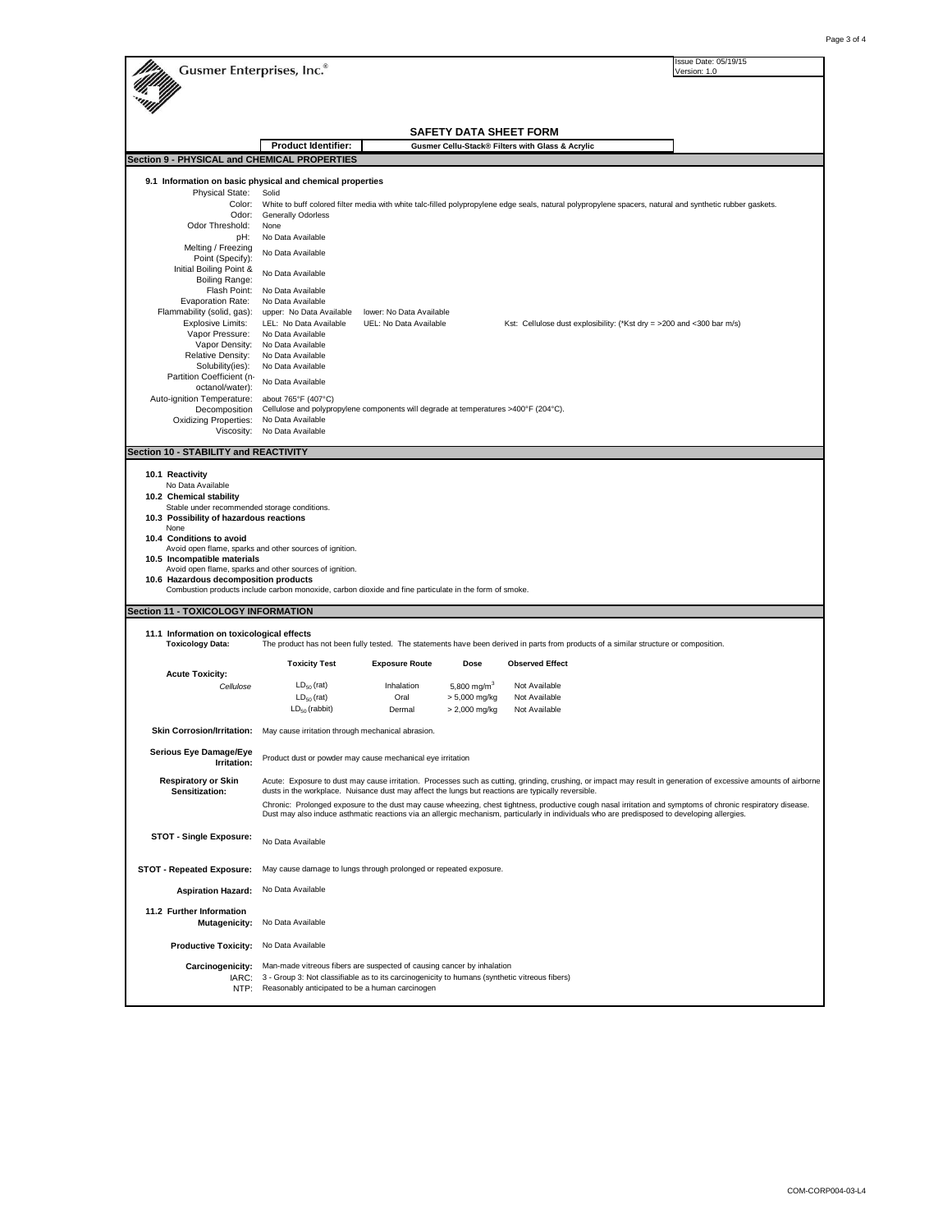| Gusmer Enterprises, Inc.®                                                    |                                                                                                          |                                                    |                                          |                                                                                                                                                                  | Issue Date: 05/19/15<br>Version: 1.0 |
|------------------------------------------------------------------------------|----------------------------------------------------------------------------------------------------------|----------------------------------------------------|------------------------------------------|------------------------------------------------------------------------------------------------------------------------------------------------------------------|--------------------------------------|
|                                                                              |                                                                                                          |                                                    |                                          |                                                                                                                                                                  |                                      |
|                                                                              |                                                                                                          |                                                    | SAFETY DATA SHEET FORM                   |                                                                                                                                                                  |                                      |
|                                                                              | <b>Product Identifier:</b>                                                                               |                                                    |                                          | Gusmer Cellu-Stack® Filters with Glass & Acrylic                                                                                                                 |                                      |
| Section 9 - PHYSICAL and CHEMICAL PROPERTIES                                 |                                                                                                          |                                                    |                                          |                                                                                                                                                                  |                                      |
| 9.1 Information on basic physical and chemical properties                    |                                                                                                          |                                                    |                                          |                                                                                                                                                                  |                                      |
| <b>Physical State:</b><br>Color:                                             | Solid                                                                                                    |                                                    |                                          | White to buff colored filter media with white talc-filled polypropylene edge seals, natural polypropylene spacers, natural and synthetic rubber gaskets.         |                                      |
| Odor:                                                                        | <b>Generally Odorless</b>                                                                                |                                                    |                                          |                                                                                                                                                                  |                                      |
| Odor Threshold:<br>pH:                                                       | None<br>No Data Available                                                                                |                                                    |                                          |                                                                                                                                                                  |                                      |
| Melting / Freezing                                                           | No Data Available                                                                                        |                                                    |                                          |                                                                                                                                                                  |                                      |
| Point (Specify):<br>Initial Boiling Point &                                  | No Data Available                                                                                        |                                                    |                                          |                                                                                                                                                                  |                                      |
| Boiling Range:                                                               |                                                                                                          |                                                    |                                          |                                                                                                                                                                  |                                      |
| Flash Point:<br>Evaporation Rate:                                            | No Data Available<br>No Data Available                                                                   |                                                    |                                          |                                                                                                                                                                  |                                      |
| Flammability (solid, gas):<br><b>Explosive Limits:</b>                       | upper: No Data Available<br>LEL: No Data Available                                                       | lower: No Data Available<br>UEL: No Data Available |                                          | Kst: Cellulose dust explosibility: (*Kst dry = >200 and <300 bar m/s)                                                                                            |                                      |
| Vapor Pressure:                                                              | No Data Available                                                                                        |                                                    |                                          |                                                                                                                                                                  |                                      |
| Vapor Density:<br><b>Relative Density:</b>                                   | No Data Available<br>No Data Available                                                                   |                                                    |                                          |                                                                                                                                                                  |                                      |
| Solubility(ies):                                                             | No Data Available                                                                                        |                                                    |                                          |                                                                                                                                                                  |                                      |
| Partition Coefficient (n-<br>octanol/water):                                 | No Data Available                                                                                        |                                                    |                                          |                                                                                                                                                                  |                                      |
| Auto-ignition Temperature:                                                   | about 765°F (407°C)                                                                                      |                                                    |                                          |                                                                                                                                                                  |                                      |
| Decomposition<br><b>Oxidizing Properties:</b>                                | Cellulose and polypropylene components will degrade at temperatures >400°F (204°C).<br>No Data Available |                                                    |                                          |                                                                                                                                                                  |                                      |
| Viscosity:                                                                   | No Data Available                                                                                        |                                                    |                                          |                                                                                                                                                                  |                                      |
| Section 10 - STABILITY and REACTIVITY                                        |                                                                                                          |                                                    |                                          |                                                                                                                                                                  |                                      |
| 10.1 Reactivity                                                              |                                                                                                          |                                                    |                                          |                                                                                                                                                                  |                                      |
| No Data Available                                                            |                                                                                                          |                                                    |                                          |                                                                                                                                                                  |                                      |
| 10.2 Chemical stability<br>Stable under recommended storage conditions.      |                                                                                                          |                                                    |                                          |                                                                                                                                                                  |                                      |
| 10.3 Possibility of hazardous reactions                                      |                                                                                                          |                                                    |                                          |                                                                                                                                                                  |                                      |
| None<br>10.4 Conditions to avoid                                             |                                                                                                          |                                                    |                                          |                                                                                                                                                                  |                                      |
| 10.5 Incompatible materials                                                  | Avoid open flame, sparks and other sources of ignition.                                                  |                                                    |                                          |                                                                                                                                                                  |                                      |
|                                                                              | Avoid open flame, sparks and other sources of ignition.                                                  |                                                    |                                          |                                                                                                                                                                  |                                      |
| 10.6 Hazardous decomposition products                                        | Combustion products include carbon monoxide, carbon dioxide and fine particulate in the form of smoke.   |                                                    |                                          |                                                                                                                                                                  |                                      |
| Section 11 - TOXICOLOGY INFORMATION                                          |                                                                                                          |                                                    |                                          |                                                                                                                                                                  |                                      |
| 11.1 Information on toxicological effects                                    |                                                                                                          |                                                    |                                          |                                                                                                                                                                  |                                      |
| <b>Toxicology Data:</b>                                                      |                                                                                                          |                                                    |                                          | The product has not been fully tested. The statements have been derived in parts from products of a similar structure or composition.                            |                                      |
|                                                                              | <b>Toxicity Test</b>                                                                                     | <b>Exposure Route</b>                              | Dose                                     | <b>Observed Effect</b>                                                                                                                                           |                                      |
| <b>Acute Toxicity:</b>                                                       | $LD_{50}$ (rat)                                                                                          | Inhalation                                         |                                          | Not Available                                                                                                                                                    |                                      |
| Cellulose                                                                    | $LD_{50}$ (rat)                                                                                          | Oral                                               | 5,800 mg/m <sup>3</sup><br>> 5,000 mg/kg | Not Available                                                                                                                                                    |                                      |
|                                                                              | $LD_{50}$ (rabbit)                                                                                       | Dermal                                             | > 2,000 mg/kg                            | Not Available                                                                                                                                                    |                                      |
| Skin Corrosion/Irritation: May cause irritation through mechanical abrasion. |                                                                                                          |                                                    |                                          |                                                                                                                                                                  |                                      |
| Serious Eye Damage/Eye                                                       |                                                                                                          |                                                    |                                          |                                                                                                                                                                  |                                      |
| Irritation:                                                                  | Product dust or powder may cause mechanical eye irritation                                               |                                                    |                                          |                                                                                                                                                                  |                                      |
| <b>Respiratory or Skin</b>                                                   |                                                                                                          |                                                    |                                          | Acute: Exposure to dust may cause irritation. Processes such as cutting, grinding, crushing, or impact may result in generation of excessive amounts of airborne |                                      |
| Sensitization:                                                               | dusts in the workplace. Nuisance dust may affect the lungs but reactions are typically reversible.       |                                                    |                                          | Chronic: Prolonged exposure to the dust may cause wheezing, chest tightness, productive cough nasal irritation and symptoms of chronic respiratory disease.      |                                      |
|                                                                              |                                                                                                          |                                                    |                                          | Dust may also induce asthmatic reactions via an allergic mechanism, particularly in individuals who are predisposed to developing allergies.                     |                                      |
| <b>STOT - Single Exposure:</b>                                               |                                                                                                          |                                                    |                                          |                                                                                                                                                                  |                                      |
|                                                                              | No Data Available                                                                                        |                                                    |                                          |                                                                                                                                                                  |                                      |
| <b>STOT - Repeated Exposure:</b>                                             | May cause damage to lungs through prolonged or repeated exposure.                                        |                                                    |                                          |                                                                                                                                                                  |                                      |
| <b>Aspiration Hazard:</b>                                                    | No Data Available                                                                                        |                                                    |                                          |                                                                                                                                                                  |                                      |
| 11.2 Further Information                                                     |                                                                                                          |                                                    |                                          |                                                                                                                                                                  |                                      |
| <b>Mutagenicity:</b>                                                         | No Data Available                                                                                        |                                                    |                                          |                                                                                                                                                                  |                                      |
| <b>Productive Toxicity:</b>                                                  | No Data Available                                                                                        |                                                    |                                          |                                                                                                                                                                  |                                      |
| Carcinogenicity:                                                             | Man-made vitreous fibers are suspected of causing cancer by inhalation                                   |                                                    |                                          |                                                                                                                                                                  |                                      |
| IARC:                                                                        | 3 - Group 3: Not classifiable as to its carcinogenicity to humans (synthetic vitreous fibers)            |                                                    |                                          |                                                                                                                                                                  |                                      |
| NTP:                                                                         | Reasonably anticipated to be a human carcinogen                                                          |                                                    |                                          |                                                                                                                                                                  |                                      |